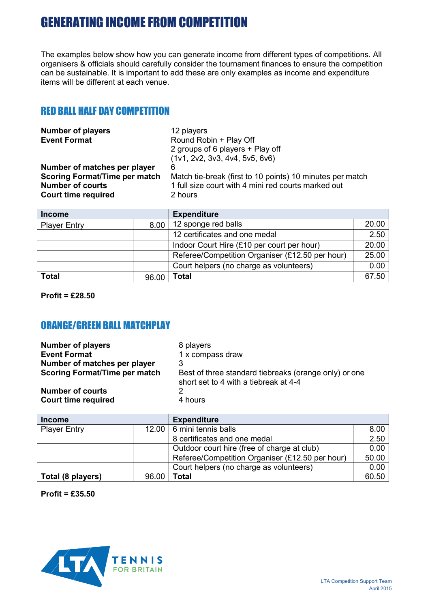The examples below show how you can generate income from different types of competitions. All organisers & officials should carefully consider the tournament finances to ensure the competition can be sustainable. It is important to add these are only examples as income and expenditure items will be different at each venue.

### RED BALL HALF DAY COMPETITION

| <b>Number of players</b>             | 12 players                                                |
|--------------------------------------|-----------------------------------------------------------|
| <b>Event Format</b>                  | Round Robin + Play Off                                    |
|                                      | 2 groups of 6 players + Play off                          |
|                                      | (1v1, 2v2, 3v3, 4v4, 5v5, 6v6)                            |
| Number of matches per player         | 6                                                         |
| <b>Scoring Format/Time per match</b> | Match tie-break (first to 10 points) 10 minutes per match |
| <b>Number of courts</b>              | 1 full size court with 4 mini red courts marked out       |
| <b>Court time required</b>           | 2 hours                                                   |
|                                      |                                                           |

| <b>Income</b>       |       | <b>Expenditure</b>                              |       |
|---------------------|-------|-------------------------------------------------|-------|
| <b>Player Entry</b> | 8.00  | 12 sponge red balls                             | 20.00 |
|                     |       | 12 certificates and one medal                   | 2.50  |
|                     |       | Indoor Court Hire (£10 per court per hour)      | 20.00 |
|                     |       | Referee/Competition Organiser (£12.50 per hour) | 25.00 |
|                     |       | Court helpers (no charge as volunteers)         | 0.00  |
| <b>Total</b>        | 96.00 | Total                                           | 67.50 |

**Profit = £28.50**

### ORANGE/GREEN BALL MATCHPLAY

| <b>Number of players</b><br><b>Event Format</b> | 8 players<br>1 x compass draw                                                                  |
|-------------------------------------------------|------------------------------------------------------------------------------------------------|
| Number of matches per player                    |                                                                                                |
| <b>Scoring Format/Time per match</b>            | Best of three standard tiebreaks (orange only) or one<br>short set to 4 with a tiebreak at 4-4 |
| <b>Number of courts</b>                         |                                                                                                |
| <b>Court time required</b>                      | 4 hours                                                                                        |

| <b>Income</b>       |       | <b>Expenditure</b>                              |       |
|---------------------|-------|-------------------------------------------------|-------|
| <b>Player Entry</b> | 12.00 | 6 mini tennis balls                             | 8.00  |
|                     |       | 8 certificates and one medal                    | 2.50  |
|                     |       | Outdoor court hire (free of charge at club)     | 0.00  |
|                     |       | Referee/Competition Organiser (£12.50 per hour) | 50.00 |
|                     |       | Court helpers (no charge as volunteers)         | 0.00  |
| Total (8 players)   | 96.00 | Total                                           | 60.50 |

**Profit = £35.50**

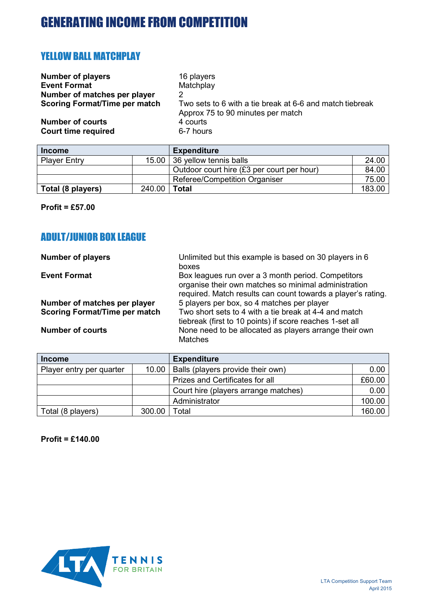### YELLOW BALL MATCHPLAY

| <b>Number of players</b>             | 16 players                                                                                    |
|--------------------------------------|-----------------------------------------------------------------------------------------------|
| <b>Event Format</b>                  | Matchplay                                                                                     |
| Number of matches per player         | 2                                                                                             |
| <b>Scoring Format/Time per match</b> | Two sets to 6 with a tie break at 6-6 and match tiebreak<br>Approx 75 to 90 minutes per match |
| <b>Number of courts</b>              | 4 courts                                                                                      |
| <b>Court time required</b>           | 6-7 hours                                                                                     |

| <b>Income</b>       |        | <b>Expenditure</b>                         |        |
|---------------------|--------|--------------------------------------------|--------|
| <b>Player Entry</b> | 15.00  | 36 yellow tennis balls                     | 24.00  |
|                     |        | Outdoor court hire (£3 per court per hour) | 84.00  |
|                     |        | Referee/Competition Organiser              | 75.00  |
| Total (8 players)   | 240.00 | Total                                      | 183.00 |

**Profit = £57.00**

### ADULT/JUNIOR BOX LEAGUE

| <b>Number of players</b>             | Unlimited but this example is based on 30 players in 6<br>boxes                                                                                                            |
|--------------------------------------|----------------------------------------------------------------------------------------------------------------------------------------------------------------------------|
| <b>Event Format</b>                  | Box leagues run over a 3 month period. Competitors<br>organise their own matches so minimal administration<br>required. Match results can count towards a player's rating. |
| Number of matches per player         | 5 players per box, so 4 matches per player                                                                                                                                 |
| <b>Scoring Format/Time per match</b> | Two short sets to 4 with a tie break at 4-4 and match<br>tiebreak (first to 10 points) if score reaches 1-set all                                                          |
| <b>Number of courts</b>              | None need to be allocated as players arrange their own<br><b>Matches</b>                                                                                                   |

| <b>Income</b>            |        | <b>Expenditure</b>                     |        |
|--------------------------|--------|----------------------------------------|--------|
| Player entry per quarter | 10.00  | Balls (players provide their own)      | 0.00   |
|                          |        | <b>Prizes and Certificates for all</b> | £60.00 |
|                          |        | Court hire (players arrange matches)   | 0.00   |
|                          |        | Administrator                          | 100.00 |
| Total (8 players)        | 300.00 | Total                                  | 160.00 |

**Profit = £140.00**

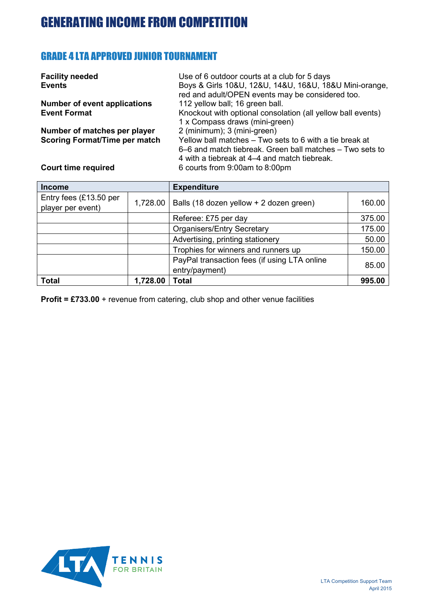### GRADE 4 LTA APPROVED JUNIOR TOURNAMENT

| <b>Facility needed</b>               | Use of 6 outdoor courts at a club for 5 days                |
|--------------------------------------|-------------------------------------------------------------|
| <b>Events</b>                        | Boys & Girls 10&U, 12&U, 14&U, 16&U, 18&U Mini-orange,      |
|                                      | red and adult/OPEN events may be considered too.            |
| <b>Number of event applications</b>  | 112 yellow ball; 16 green ball.                             |
| <b>Event Format</b>                  | Knockout with optional consolation (all yellow ball events) |
|                                      | 1 x Compass draws (mini-green)                              |
| Number of matches per player         | 2 (minimum); 3 (mini-green)                                 |
| <b>Scoring Format/Time per match</b> | Yellow ball matches - Two sets to 6 with a tie break at     |
|                                      | 6–6 and match tiebreak. Green ball matches – Two sets to    |
|                                      | 4 with a tiebreak at 4–4 and match tiebreak.                |
| <b>Court time required</b>           | 6 courts from 9:00am to 8:00pm                              |

| <b>Income</b>                               |          | <b>Expenditure</b>                                             |        |
|---------------------------------------------|----------|----------------------------------------------------------------|--------|
| Entry fees (£13.50 per<br>player per event) | 1,728.00 | Balls (18 dozen yellow + 2 dozen green)                        | 160.00 |
|                                             |          | Referee: £75 per day                                           | 375.00 |
|                                             |          | <b>Organisers/Entry Secretary</b>                              | 175.00 |
|                                             |          | Advertising, printing stationery                               | 50.00  |
|                                             |          | Trophies for winners and runners up                            | 150.00 |
|                                             |          | PayPal transaction fees (if using LTA online<br>entry/payment) | 85.00  |
| <b>Total</b>                                | 1,728.00 | <b>Total</b>                                                   | 995.00 |

**Profit = £733.00** + revenue from catering, club shop and other venue facilities

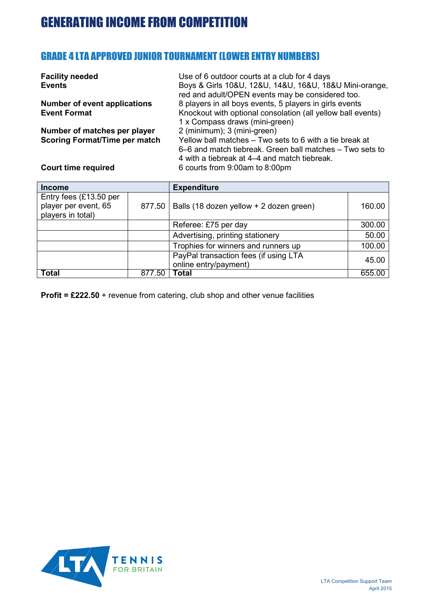#### GRADE 4 LTA APPROVED JUNIOR TOURNAMENT (LOWER ENTRY NUMBERS)

| <b>Facility needed</b>               | Use of 6 outdoor courts at a club for 4 days                                                               |
|--------------------------------------|------------------------------------------------------------------------------------------------------------|
| <b>Events</b>                        | Boys & Girls 10&U, 12&U, 14&U, 16&U, 18&U Mini-orange,<br>red and adult/OPEN events may be considered too. |
| <b>Number of event applications</b>  | 8 players in all boys events, 5 players in girls events                                                    |
| <b>Event Format</b>                  | Knockout with optional consolation (all yellow ball events)                                                |
|                                      | 1 x Compass draws (mini-green)                                                                             |
| Number of matches per player         | 2 (minimum); 3 (mini-green)                                                                                |
| <b>Scoring Format/Time per match</b> | Yellow ball matches – Two sets to 6 with a tie break at                                                    |
|                                      | 6–6 and match tiebreak. Green ball matches – Two sets to                                                   |
|                                      | 4 with a tiebreak at 4–4 and match tiebreak.                                                               |
| <b>Court time required</b>           | 6 courts from 9:00am to 8:00pm                                                                             |

| <b>Income</b>                                                         |        | <b>Expenditure</b>                                             |        |
|-----------------------------------------------------------------------|--------|----------------------------------------------------------------|--------|
| Entry fees $(E13.50$ per<br>player per event, 65<br>players in total) | 877.50 | Balls (18 dozen yellow + 2 dozen green)                        | 160.00 |
|                                                                       |        | Referee: £75 per day                                           | 300.00 |
|                                                                       |        | Advertising, printing stationery                               | 50.00  |
|                                                                       |        | Trophies for winners and runners up                            | 100.00 |
|                                                                       |        | PayPal transaction fees (if using LTA<br>online entry/payment) | 45.00  |
| <b>Total</b>                                                          | 877.50 | <b>Total</b>                                                   | 655.00 |

**Profit = £222.50** + revenue from catering, club shop and other venue facilities